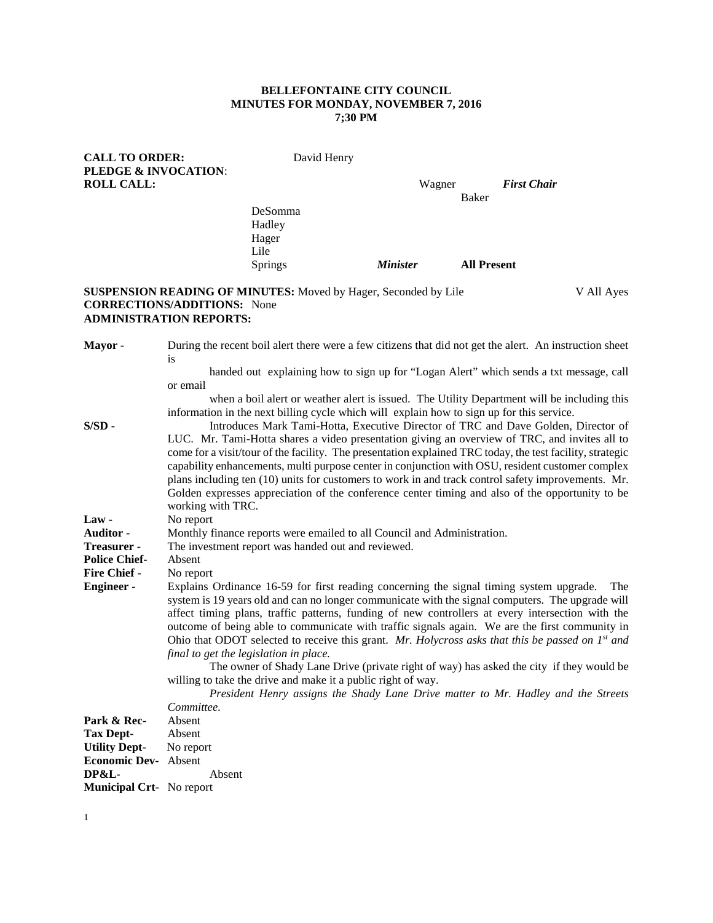## **BELLEFONTAINE CITY COUNCIL MINUTES FOR MONDAY, NOVEMBER 7, 2016 7;30 PM**

| <b>CALL TO ORDER:</b>    |                                    | David Henry                                                                               |                 |        |                    |                                                                                                           |
|--------------------------|------------------------------------|-------------------------------------------------------------------------------------------|-----------------|--------|--------------------|-----------------------------------------------------------------------------------------------------------|
| PLEDGE & INVOCATION:     |                                    |                                                                                           |                 |        |                    |                                                                                                           |
| <b>ROLL CALL:</b>        |                                    |                                                                                           |                 | Wagner |                    | <b>First Chair</b>                                                                                        |
|                          |                                    |                                                                                           |                 |        | Baker              |                                                                                                           |
|                          |                                    | DeSomma                                                                                   |                 |        |                    |                                                                                                           |
|                          |                                    | Hadley                                                                                    |                 |        |                    |                                                                                                           |
|                          |                                    | Hager                                                                                     |                 |        |                    |                                                                                                           |
|                          |                                    | Lile                                                                                      |                 |        |                    |                                                                                                           |
|                          |                                    | <b>Springs</b>                                                                            | <b>Minister</b> |        | <b>All Present</b> |                                                                                                           |
|                          |                                    |                                                                                           |                 |        |                    |                                                                                                           |
|                          |                                    | <b>SUSPENSION READING OF MINUTES:</b> Moved by Hager, Seconded by Lile                    |                 |        |                    | V All Ayes                                                                                                |
|                          | <b>CORRECTIONS/ADDITIONS:</b> None |                                                                                           |                 |        |                    |                                                                                                           |
|                          | <b>ADMINISTRATION REPORTS:</b>     |                                                                                           |                 |        |                    |                                                                                                           |
|                          |                                    |                                                                                           |                 |        |                    |                                                                                                           |
| Mayor-                   |                                    |                                                                                           |                 |        |                    |                                                                                                           |
|                          |                                    |                                                                                           |                 |        |                    | During the recent boil alert there were a few citizens that did not get the alert. An instruction sheet   |
|                          | <sub>is</sub>                      |                                                                                           |                 |        |                    |                                                                                                           |
|                          |                                    |                                                                                           |                 |        |                    | handed out explaining how to sign up for "Logan Alert" which sends a txt message, call                    |
|                          | or email                           |                                                                                           |                 |        |                    |                                                                                                           |
|                          |                                    |                                                                                           |                 |        |                    | when a boil alert or weather alert is issued. The Utility Department will be including this               |
|                          |                                    | information in the next billing cycle which will explain how to sign up for this service. |                 |        |                    |                                                                                                           |
| $S/SD -$                 |                                    |                                                                                           |                 |        |                    | Introduces Mark Tami-Hotta, Executive Director of TRC and Dave Golden, Director of                        |
|                          |                                    |                                                                                           |                 |        |                    | LUC. Mr. Tami-Hotta shares a video presentation giving an overview of TRC, and invites all to             |
|                          |                                    |                                                                                           |                 |        |                    | come for a visit/tour of the facility. The presentation explained TRC today, the test facility, strategic |
|                          |                                    |                                                                                           |                 |        |                    | capability enhancements, multi purpose center in conjunction with OSU, resident customer complex          |
|                          |                                    |                                                                                           |                 |        |                    | plans including ten (10) units for customers to work in and track control safety improvements. Mr.        |
|                          |                                    |                                                                                           |                 |        |                    | Golden expresses appreciation of the conference center timing and also of the opportunity to be           |
|                          | working with TRC.                  |                                                                                           |                 |        |                    |                                                                                                           |
| $Law -$                  | No report                          |                                                                                           |                 |        |                    |                                                                                                           |
| Auditor -                |                                    | Monthly finance reports were emailed to all Council and Administration.                   |                 |        |                    |                                                                                                           |
| Treasurer -              |                                    | The investment report was handed out and reviewed.                                        |                 |        |                    |                                                                                                           |
| <b>Police Chief-</b>     | Absent                             |                                                                                           |                 |        |                    |                                                                                                           |
| <b>Fire Chief -</b>      | No report                          |                                                                                           |                 |        |                    |                                                                                                           |
| <b>Engineer-</b>         |                                    | Explains Ordinance 16-59 for first reading concerning the signal timing system upgrade.   |                 |        |                    | The                                                                                                       |
|                          |                                    |                                                                                           |                 |        |                    | system is 19 years old and can no longer communicate with the signal computers. The upgrade will          |
|                          |                                    |                                                                                           |                 |        |                    | affect timing plans, traffic patterns, funding of new controllers at every intersection with the          |
|                          |                                    |                                                                                           |                 |        |                    | outcome of being able to communicate with traffic signals again. We are the first community in            |
|                          |                                    |                                                                                           |                 |        |                    | Ohio that ODOT selected to receive this grant. Mr. Holycross asks that this be passed on $Ist$ and        |
|                          |                                    | final to get the legislation in place.                                                    |                 |        |                    |                                                                                                           |
|                          |                                    |                                                                                           |                 |        |                    | The owner of Shady Lane Drive (private right of way) has asked the city if they would be                  |
|                          |                                    | willing to take the drive and make it a public right of way.                              |                 |        |                    |                                                                                                           |
|                          |                                    |                                                                                           |                 |        |                    | President Henry assigns the Shady Lane Drive matter to Mr. Hadley and the Streets                         |
|                          | Committee.                         |                                                                                           |                 |        |                    |                                                                                                           |
| Park & Rec-              | Absent                             |                                                                                           |                 |        |                    |                                                                                                           |
| <b>Tax Dept-</b>         | Absent                             |                                                                                           |                 |        |                    |                                                                                                           |
| <b>Utility Dept-</b>     | No report                          |                                                                                           |                 |        |                    |                                                                                                           |
| <b>Economic Dev-</b>     | Absent                             |                                                                                           |                 |        |                    |                                                                                                           |
| DP&L-                    | Absent                             |                                                                                           |                 |        |                    |                                                                                                           |
|                          |                                    |                                                                                           |                 |        |                    |                                                                                                           |
| Municipal Crt- No report |                                    |                                                                                           |                 |        |                    |                                                                                                           |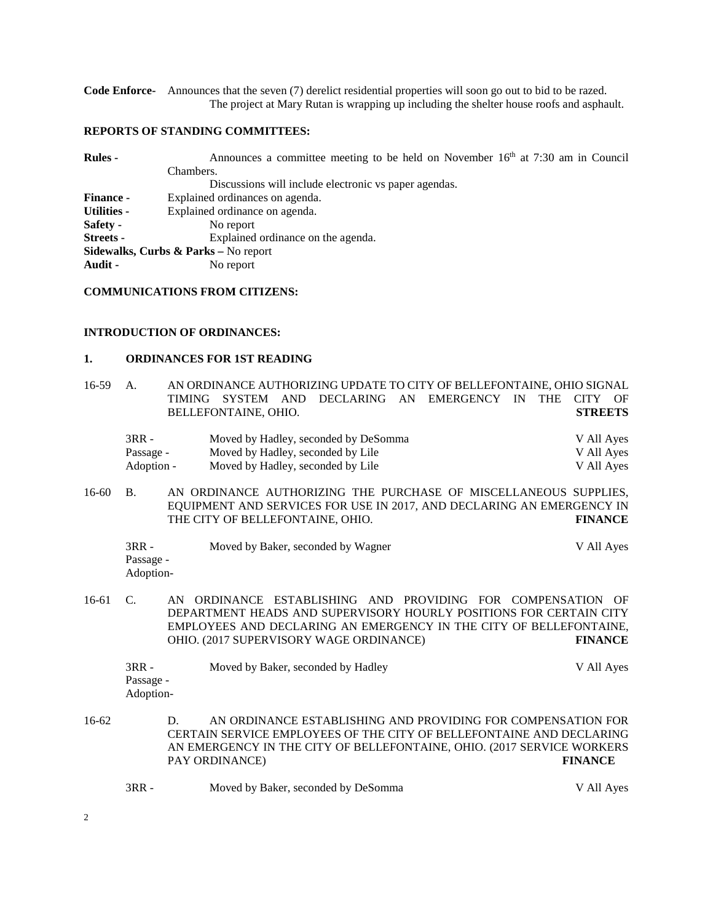**Code Enforce-** Announces that the seven (7) derelict residential properties will soon go out to bid to be razed. The project at Mary Rutan is wrapping up including the shelter house roofs and asphault.

# **REPORTS OF STANDING COMMITTEES:**

| <b>Rules -</b>   | Announces a committee meeting to be held on November $16th$ at 7:30 am in Council |  |  |  |  |  |  |
|------------------|-----------------------------------------------------------------------------------|--|--|--|--|--|--|
|                  | Chambers.                                                                         |  |  |  |  |  |  |
|                  | Discussions will include electronic vs paper agendas.                             |  |  |  |  |  |  |
| <b>Finance -</b> | Explained ordinances on agenda.                                                   |  |  |  |  |  |  |
| Utilities -      | Explained ordinance on agenda.                                                    |  |  |  |  |  |  |
| Safety -         | No report                                                                         |  |  |  |  |  |  |
| <b>Streets -</b> | Explained ordinance on the agenda.                                                |  |  |  |  |  |  |
|                  | Sidewalks, Curbs & Parks - No report                                              |  |  |  |  |  |  |
| Audit -          | No report                                                                         |  |  |  |  |  |  |

# **COMMUNICATIONS FROM CITIZENS:**

# **INTRODUCTION OF ORDINANCES:**

### **1. ORDINANCES FOR 1ST READING**

| $16 - 59$ | A.                                 | AN ORDINANCE AUTHORIZING UPDATE TO CITY OF BELLEFONTAINE, OHIO SIGNAL<br>SYSTEM AND<br>DECLARING AN EMERGENCY IN<br>TIMING<br><b>THE</b><br>CITY OF<br><b>STREETS</b><br>BELLEFONTAINE, OHIO.                                                                        |    |
|-----------|------------------------------------|----------------------------------------------------------------------------------------------------------------------------------------------------------------------------------------------------------------------------------------------------------------------|----|
|           | $3RR -$<br>Passage -<br>Adoption - | Moved by Hadley, seconded by DeSomma<br>V All Ayes<br>Moved by Hadley, seconded by Lile<br>V All Ayes<br>Moved by Hadley, seconded by Lile<br>V All Ayes                                                                                                             |    |
| $16 - 60$ | <b>B.</b>                          | AN ORDINANCE AUTHORIZING THE PURCHASE OF MISCELLANEOUS SUPPLIES,<br>EQUIPMENT AND SERVICES FOR USE IN 2017, AND DECLARING AN EMERGENCY IN<br>THE CITY OF BELLEFONTAINE, OHIO.<br><b>FINANCE</b>                                                                      |    |
|           | $3RR -$<br>Passage -<br>Adoption-  | Moved by Baker, seconded by Wagner<br>V All Ayes                                                                                                                                                                                                                     |    |
| 16-61     | $C_{\cdot}$                        | ORDINANCE ESTABLISHING AND PROVIDING FOR COMPENSATION<br>AN<br>DEPARTMENT HEADS AND SUPERVISORY HOURLY POSITIONS FOR CERTAIN CITY<br>EMPLOYEES AND DECLARING AN EMERGENCY IN THE CITY OF BELLEFONTAINE,<br>OHIO. (2017 SUPERVISORY WAGE ORDINANCE)<br><b>FINANCE</b> | OF |
|           | $3RR -$<br>Passage -<br>Adoption-  | Moved by Baker, seconded by Hadley<br>V All Ayes                                                                                                                                                                                                                     |    |
| $16-62$   |                                    | AN ORDINANCE ESTABLISHING AND PROVIDING FOR COMPENSATION FOR<br>D.<br>CERTAIN SERVICE EMPLOYEES OF THE CITY OF BELLEFONTAINE AND DECLARING<br>AN EMERGENCY IN THE CITY OF BELLEFONTAINE, OHIO. (2017 SERVICE WORKERS<br>PAY ORDINANCE)<br><b>FINANCE</b>             |    |
|           | $3RR -$                            | Moved by Baker, seconded by DeSomma<br>V All Ayes                                                                                                                                                                                                                    |    |